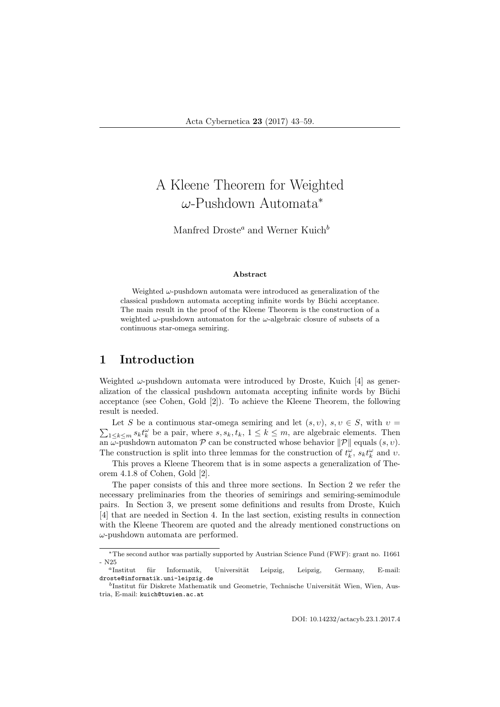# A Kleene Theorem for Weighted ω-Pushdown Automata<sup>∗</sup>

Manfred Droste<sup>a</sup> and Werner Kuich<sup>b</sup>

#### Abstract

Weighted  $\omega$ -pushdown automata were introduced as generalization of the classical pushdown automata accepting infinite words by Büchi acceptance. The main result in the proof of the Kleene Theorem is the construction of a weighted  $\omega$ -pushdown automaton for the  $\omega$ -algebraic closure of subsets of a continuous star-omega semiring.

### 1 Introduction

Weighted  $\omega$ -pushdown automata were introduced by Droste, Kuich [4] as generalization of the classical pushdown automata accepting infinite words by Büchi acceptance (see Cohen, Gold [2]). To achieve the Kleene Theorem, the following result is needed.

 $\sum_{1 \leq k \leq m} s_k t_k^{\omega}$  be a pair, where  $s, s_k, t_k, 1 \leq k \leq m$ , are algebraic elements. Then Let S be a continuous star-omega semiring and let  $(s, v)$ ,  $s, v \in S$ , with  $v =$ an  $\omega$ -pushdown automaton  $\mathcal P$  can be constructed whose behavior  $\|\mathcal P\|$  equals  $(s, v)$ . The construction is split into three lemmas for the construction of  $t_k^{\omega}$ ,  $s_k t_k^{\omega}$  and v.

This proves a Kleene Theorem that is in some aspects a generalization of Theorem 4.1.8 of Cohen, Gold [2].

The paper consists of this and three more sections. In Section 2 we refer the necessary preliminaries from the theories of semirings and semiring-semimodule pairs. In Section 3, we present some definitions and results from Droste, Kuich [4] that are needed in Section 4. In the last section, existing results in connection with the Kleene Theorem are quoted and the already mentioned constructions on  $\omega$ -pushdown automata are performed.

<sup>∗</sup>The second author was partially supported by Austrian Science Fund (FWF): grant no. I1661 - N25

<sup>&</sup>lt;sup>a</sup>Institut für Informatik, Universität Leipzig, Leipzig, Germany, E-mail: droste@informatik.uni-leipzig.de

<sup>&</sup>lt;sup>b</sup>Institut für Diskrete Mathematik und Geometrie, Technische Universität Wien, Wien, Austria, E-mail: kuich@tuwien.ac.at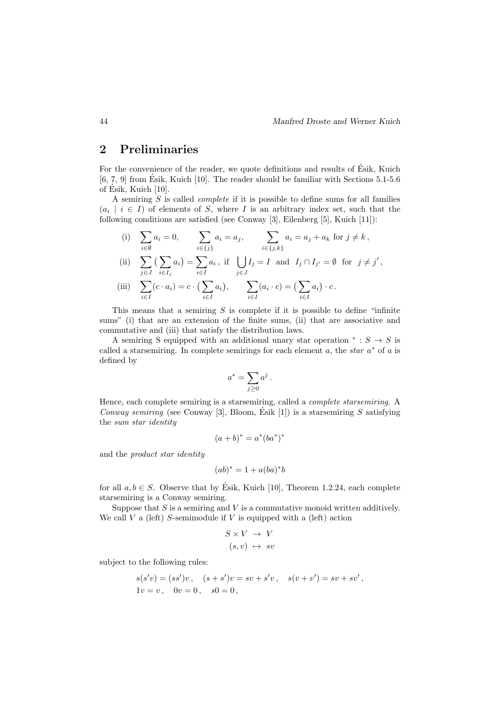### 2 Preliminaries

For the convenience of the reader, we quote definitions and results of Ésik, Kuich  $[6, 7, 9]$  from Ésik, Kuich  $[10]$ . The reader should be familiar with Sections 5.1-5.6 of Esik, Kuich [10]. ´

A semiring  $S$  is called *complete* if it is possible to define sums for all families  $(a_i \mid i \in I)$  of elements of S, where I is an arbitrary index set, such that the following conditions are satisfied (see Conway [3], Eilenberg [5], Kuich [11]):

(i) 
$$
\sum_{i \in \emptyset} a_i = 0
$$
,  $\sum_{i \in \{j\}} a_i = a_j$ ,  $\sum_{i \in \{j,k\}} a_i = a_j + a_k$  for  $j \neq k$ ,

(ii) 
$$
\sum_{j \in J} (\sum_{i \in I_j} a_i) = \sum_{i \in I} a_i, \text{ if } \bigcup_{j \in J} I_j = I \text{ and } I_j \cap I_{j'} = \emptyset \text{ for } j \neq j',
$$
  
(iii) 
$$
\sum_{i \in I} (c \cdot a_i) = c \cdot (\sum_{i \in I} a_i), \sum_{i \in I} (a_i \cdot c) = (\sum_{i \in I} a_i) \cdot c.
$$

This means that a semiring  $S$  is complete if it is possible to define "infinite sums" (i) that are an extension of the finite sums, (ii) that are associative and commutative and (iii) that satisfy the distribution laws.

A semiring S equipped with an additional unary star operation  $* : S \to S$  is called a starsemiring. In complete semirings for each element  $a$ , the *star*  $a^*$  of  $a$  is defined by

$$
a^* = \sum_{j\geq 0} a^j.
$$

Hence, each complete semiring is a starsemiring, called a complete starsemiring. A Conway semiring (see Conway [3], Bloom, Esik [1]) is a starsemiring  $S$  satisfying the sum star identity

$$
(a+b)^* = a^*(ba^*)^*
$$

and the product star identity

$$
(ab)^* = 1 + a(ba)^*b
$$

for all  $a, b \in S$ . Observe that by Ésik, Kuich [10], Theorem 1.2.24, each complete starsemiring is a Conway semiring.

Suppose that  $S$  is a semiring and  $V$  is a commutative monoid written additively. We call  $V$  a (left) S-semimodule if  $V$  is equipped with a (left) action

$$
S \times V \rightarrow V
$$

$$
(s, v) \mapsto sv
$$

subject to the following rules:

$$
s(s'v) = (ss')v, \quad (s + s')v = sv + s'v, \quad s(v + v') = sv + sv',
$$
  
1v = v, 0v = 0, s0 = 0,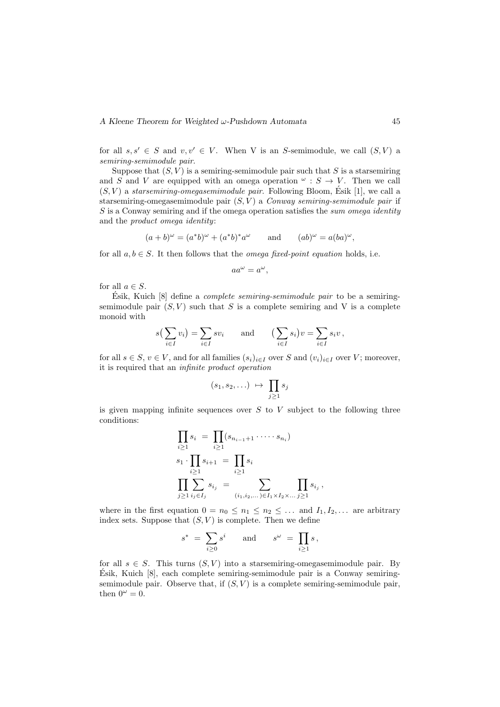for all  $s, s' \in S$  and  $v, v' \in V$ . When V is an S-semimodule, we call  $(S, V)$  a semiring-semimodule pair.

Suppose that  $(S, V)$  is a semiring-semimodule pair such that S is a starsemiring and S and V are equipped with an omega operation  $\omega : S \to V$ . Then we call  $(S, V)$  a starsemiring-omegasemimodule pair. Following Bloom, Esik [1], we call a starsemiring-omegasemimodule pair  $(S, V)$  a Conway semiring-semimodule pair if S is a Conway semiring and if the omega operation satisfies the sum omega identity and the product omega identity:

$$
(a+b)^{\omega} = (a^*b)^{\omega} + (a^*b)^*a^{\omega} \quad \text{and} \quad (ab)^{\omega} = a(ba)^{\omega},
$$

for all  $a, b \in S$ . It then follows that the *omega fixed-point equation* holds, i.e.

$$
aa^{\omega} = a^{\omega},
$$

for all  $a \in S$ .

Esik, Kuich  $[8]$  define a *complete semiring-semimodule pair* to be a semiringsemimodule pair  $(S, V)$  such that S is a complete semiring and V is a complete monoid with

$$
s\left(\sum_{i\in I} v_i\right) = \sum_{i\in I} s v_i \quad \text{and} \quad \left(\sum_{i\in I} s_i\right) v = \sum_{i\in I} s_i v,
$$

for all  $s \in S$ ,  $v \in V$ , and for all families  $(s_i)_{i \in I}$  over S and  $(v_i)_{i \in I}$  over V; moreover, it is required that an infinite product operation

$$
(s_1, s_2, \ldots) \ \mapsto \ \prod_{j \geq 1} s_j
$$

is given mapping infinite sequences over  $S$  to  $V$  subject to the following three conditions:

$$
\prod_{i\geq 1} s_i = \prod_{i\geq 1} (s_{n_{i-1}+1} \cdot \dots \cdot s_{n_i})
$$
  
\n
$$
s_1 \cdot \prod_{i\geq 1} s_{i+1} = \prod_{i\geq 1} s_i
$$
  
\n
$$
\prod_{j\geq 1} \sum_{i_j \in I_j} s_{i_j} = \sum_{(i_1, i_2, \dots) \in I_1 \times I_2 \times \dots} \prod_{j\geq 1} s_{i_j}
$$

where in the first equation  $0 = n_0 \leq n_1 \leq n_2 \leq \ldots$  and  $I_1, I_2, \ldots$  are arbitrary index sets. Suppose that  $(S, V)$  is complete. Then we define

,

$$
s^* = \sum_{i \geq 0} s^i \quad \text{and} \quad s^{\omega} = \prod_{i \geq 1} s,
$$

for all  $s \in S$ . This turns  $(S, V)$  into a starsemiring-omegasemimodule pair. By  $\acute{E}$ sik, Kuich [8], each complete semiring-semimodule pair is a Conway semiringsemimodule pair. Observe that, if  $(S, V)$  is a complete semiring-semimodule pair, then  $0^{\omega} = 0$ .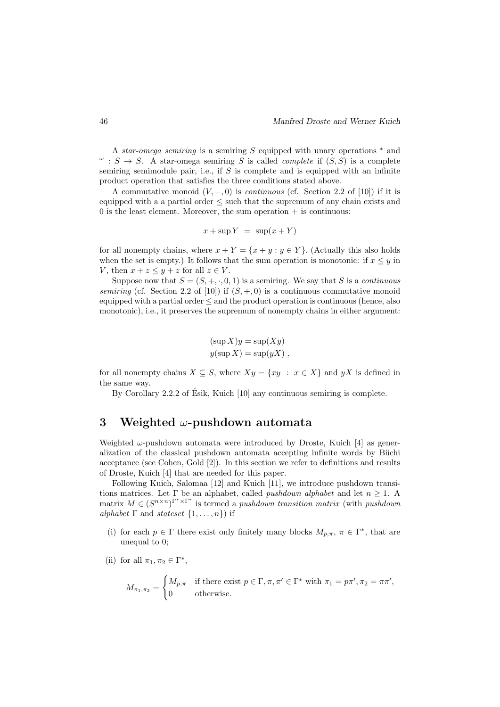A star-omega semiring is a semiring S equipped with unary operations <sup>∗</sup> and  $\omega$ :  $S \rightarrow S$ . A star-omega semiring S is called *complete* if  $(S, S)$  is a complete semiring semimodule pair, i.e., if  $S$  is complete and is equipped with an infinite product operation that satisfies the three conditions stated above.

A commutative monoid  $(V, +, 0)$  is *continuous* (cf. Section 2.2 of [10]) if it is equipped with a a partial order ≤ such that the supremum of any chain exists and  $0$  is the least element. Moreover, the sum operation  $+$  is continuous:

$$
x + \sup Y = \sup(x + Y)
$$

for all nonempty chains, where  $x + Y = \{x + y : y \in Y\}$ . (Actually this also holds when the set is empty.) It follows that the sum operation is monotonic: if  $x \leq y$  in V, then  $x + z \leq y + z$  for all  $z \in V$ .

Suppose now that  $S = (S, +, \cdot, 0, 1)$  is a semiring. We say that S is a *continuous* semiring (cf. Section 2.2 of [10]) if  $(S, +, 0)$  is a continuous commutative monoid equipped with a partial order  $\leq$  and the product operation is continuous (hence, also monotonic), i.e., it preserves the supremum of nonempty chains in either argument:

$$
(\sup X)y = \sup(Xy)
$$
  

$$
y(\sup X) = \sup(yX)
$$
,

for all nonempty chains  $X \subseteq S$ , where  $Xy = \{xy : x \in X\}$  and  $yX$  is defined in the same way.

By Corollary 2.2.2 of Ésik, Kuich [10] any continuous semiring is complete.

## 3 Weighted  $\omega$ -pushdown automata

Weighted  $\omega$ -pushdown automata were introduced by Droste, Kuich [4] as generalization of the classical pushdown automata accepting infinite words by Büchi acceptance (see Cohen, Gold [2]). In this section we refer to definitions and results of Droste, Kuich [4] that are needed for this paper.

Following Kuich, Salomaa [12] and Kuich [11], we introduce pushdown transitions matrices. Let  $\Gamma$  be an alphabet, called *pushdown alphabet* and let  $n \geq 1$ . A matrix  $M \in (S^{n \times n})^{\Gamma^* \times \Gamma^*}$  is termed a *pushdown transition matrix* (with *pushdown* alphabet  $\Gamma$  and stateset  $\{1, \ldots, n\}$  if

- (i) for each  $p \in \Gamma$  there exist only finitely many blocks  $M_{p,\pi}$ ,  $\pi \in \Gamma^*$ , that are unequal to 0;
- (ii) for all  $\pi_1, \pi_2 \in \Gamma^*$ ,

$$
M_{\pi_1, \pi_2} = \begin{cases} M_{p,\pi} & \text{if there exist } p \in \Gamma, \pi, \pi' \in \Gamma^* \text{ with } \pi_1 = p\pi', \pi_2 = \pi\pi', \\ 0 & \text{otherwise.} \end{cases}
$$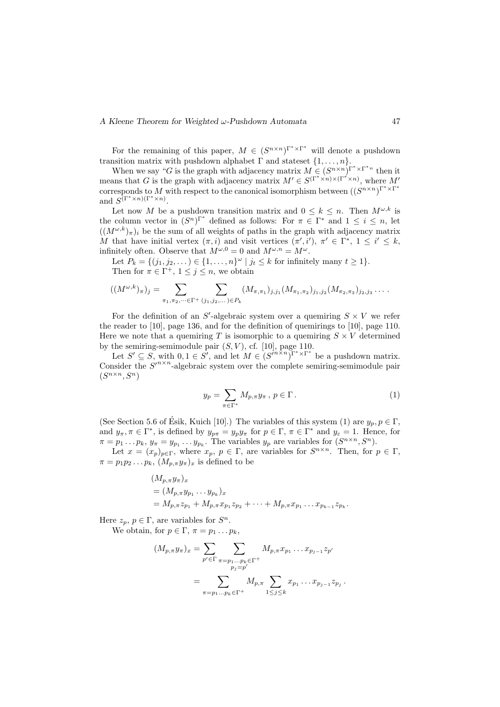#### A Kleene Theorem for Weighted  $\omega$ -Pushdown Automata 47

For the remaining of this paper,  $M \in (S^{n \times n})^{\Gamma^* \times \Gamma^*}$  will denote a pushdown transition matrix with pushdown alphabet  $\Gamma$  and stateset  $\{1, \ldots, n\}$ .

When we say "G is the graph with adjacency matrix  $M \in (S^{n \times n})^{\Gamma^* \times \Gamma^*}$ " then it means that G is the graph with adjacency matrix  $M' \in S^{(\Gamma^* \times n) \times (\Gamma^* \times n)}$ , where M' corresponds to M with respect to the canonical isomorphism between  $((S^{n \times n})^{\Gamma^* \times \Gamma^*})$ and  $S^{(\Gamma^* \times n)(\Gamma^* \times n)}$ .

Let now M be a pushdown transition matrix and  $0 \leq k \leq n$ . Then  $M^{\omega,k}$  is the column vector in  $(S^n)^{\Gamma^*}$  defined as follows: For  $\pi \in \Gamma^*$  and  $1 \leq i \leq n$ , let  $((M^{\omega,k})_{\pi})_i$  be the sum of all weights of paths in the graph with adjacency matrix M that have initial vertex  $(\pi, i)$  and visit vertices  $(\pi', i')$ ,  $\pi' \in \Gamma^*$ ,  $1 \leq i' \leq k$ , infinitely often. Observe that  $M^{\omega,0} = 0$  and  $M^{\omega,n} = M^{\omega}$ .

Let  $P_k = \{(j_1, j_2, \dots) \in \{1, \dots, n\}^\omega \mid j_t \leq k \text{ for infinitely many } t \geq 1\}.$ Then for  $\pi \in \Gamma^+$ ,  $1 \leq j \leq n$ , we obtain

$$
((M^{\omega,k})_{\pi})_j = \sum_{\pi_1, \pi_2, \dots \in \Gamma^+} \sum_{(j_1, j_2, \dots) \in P_k} (M_{\pi, \pi_1})_{j, j_1} (M_{\pi_1, \pi_2})_{j_1, j_2} (M_{\pi_2, \pi_3})_{j_2, j_3} \dots
$$

For the definition of an S'-algebraic system over a quemiring  $S \times V$  we refer the reader to [10], page 136, and for the definition of quemirings to [10], page 110. Here we note that a quemiring T is isomorphic to a quemiring  $S \times V$  determined by the semiring-semimodule pair  $(S, V)$ , cf. [10], page 110.

Let  $S' \subseteq S$ , with  $0, 1 \in S'$ , and let  $M \in (S^{n \times n})^{\Gamma^* \times \Gamma^*}$  be a pushdown matrix. Consider the  $S'^{n \times n}$ -algebraic system over the complete semiring-semimodule pair  $(S^{n \times n}, S^n)$ 

$$
y_p = \sum_{\pi \in \Gamma^*} M_{p,\pi} y_\pi, \ p \in \Gamma.
$$
 (1)

(See Section 5.6 of Esik, Kuich [10].) The variables of this system (1) are  $y_p, p \in \Gamma$ , and  $y_{\pi}, \pi \in \Gamma^*$ , is defined by  $y_{p\pi} = y_p y_{\pi}$  for  $p \in \Gamma$ ,  $\pi \in \Gamma^*$  and  $y_{\varepsilon} = 1$ . Hence, for  $\pi = p_1 \dots p_k, y_{\pi} = y_{p_1} \dots y_{p_k}$ . The variables  $y_p$  are variables for  $(S^{n \times n}, S^n)$ .

Let  $x = (x_p)_{p \in \Gamma}$ , where  $x_p, p \in \Gamma$ , are variables for  $S^{n \times n}$ . Then, for  $p \in \Gamma$ ,  $\pi = p_1 p_2 \dots p_k$ ,  $(M_{p,\pi} y_{\pi})_x$  is defined to be

$$
(M_{p,\pi}y_{\pi})_x
$$
  
=  $(M_{p,\pi}y_{p_1}\dots y_{p_k})_x$   
=  $M_{p,\pi}z_{p_1} + M_{p,\pi}x_{p_1}z_{p_2} + \dots + M_{p,\pi}x_{p_1}\dots x_{p_{k-1}}z_{p_k}.$ 

Here  $z_p, p \in \Gamma$ , are variables for  $S^n$ .

We obtain, for  $p \in \Gamma$ ,  $\pi = p_1 \dots p_k$ ,

$$
(M_{p,\pi}y_{\pi})_x = \sum_{p' \in \Gamma} \sum_{\substack{\pi = p_1 \dots p_k \in \Gamma^+ \\ p_j = p'}} M_{p,\pi} x_{p_1} \dots x_{p_{j-1}} z_{p'}
$$
  
= 
$$
\sum_{\pi = p_1 \dots p_k \in \Gamma^+} M_{p,\pi} \sum_{1 \le j \le k} x_{p_1} \dots x_{p_{j-1}} z_{p_j} .
$$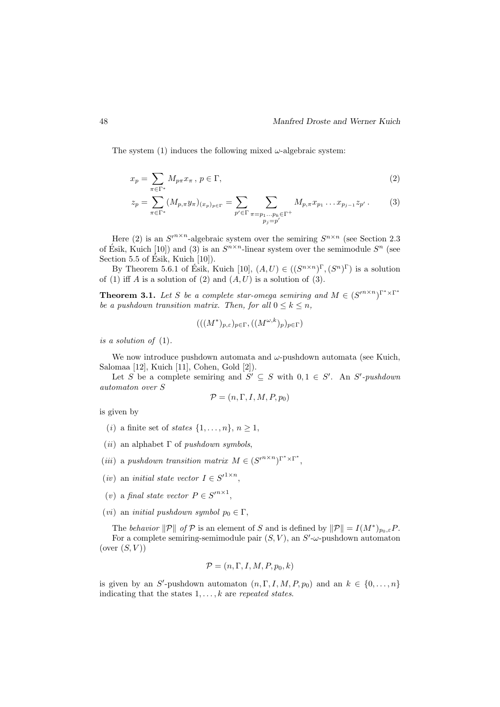The system (1) induces the following mixed  $\omega$ -algebraic system:

$$
x_p = \sum_{\pi \in \Gamma^*} M_{p\pi} x_\pi, \ p \in \Gamma,\tag{2}
$$

$$
z_p = \sum_{\pi \in \Gamma^*} (M_{p,\pi} y_{\pi})_{(x_p)_{p \in \Gamma}} = \sum_{p' \in \Gamma} \sum_{\substack{\pi = p_1 \dots p_k \in \Gamma^+ \\ p_j = p'}} M_{p,\pi} x_{p_1} \dots x_{p_{j-1}} z_{p'}.
$$
 (3)

Here (2) is an  $S^{n \times n}$ -algebraic system over the semiring  $S^{n \times n}$  (see Section 2.3) of Ésik, Kuich [10]) and (3) is an  $S^{n \times n}$ -linear system over the semimodule  $S^n$  (see Section 5.5 of Ésik, Kuich  $[10]$ ).

By Theorem 5.6.1 of Esik, Kuich [10],  $(A, U) \in ((S^{n \times n})^{\Gamma}, (S^n)^{\Gamma})$  is a solution of (1) iff A is a solution of (2) and  $(A, U)$  is a solution of (3).

**Theorem 3.1.** Let S be a complete star-omega semiring and  $M \in (S^{n \times n})^{\Gamma^* \times \Gamma^*}$ be a pushdown transition matrix. Then, for all  $0 \leq k \leq n$ ,

$$
(((M^*)_{p,\varepsilon})_{p\in\Gamma},((M^{\omega,k})_p)_{p\in\Gamma})
$$

is a solution of (1).

We now introduce pushdown automata and  $\omega$ -pushdown automata (see Kuich, Salomaa [12], Kuich [11], Cohen, Gold [2]).

Let S be a complete semiring and  $S' \subseteq S$  with  $0, 1 \in S'$ . An S'-pushdown automaton over S

$$
\mathcal{P} = (n, \Gamma, I, M, P, p_0)
$$

is given by

- (*i*) a finite set of *states*  $\{1, \ldots, n\}, n \geq 1$ ,
- (*ii*) an alphabet  $\Gamma$  of *pushdown symbols*,
- (iii) a pushdown transition matrix  $M \in (S^{n \times n})^{\Gamma^* \times \Gamma^*}$ ,
- (*iv*) an *initial state vector*  $I \in S'^{1 \times n}$ ,
- (v) a final state vector  $P \in S'^{n \times 1}$ ,
- (*vi*) an *initial pushdown symbol*  $p_0 \in \Gamma$ ,

The behavior  $||\mathcal{P}||$  of  $\mathcal{P}$  is an element of S and is defined by  $||\mathcal{P}|| = I(M^*)_{p_0,\varepsilon}P$ . For a complete semiring-semimodule pair  $(S, V)$ , an  $S'$ - $\omega$ -pushdown automaton (over  $(S, V)$ )

$$
\mathcal{P} = (n, \Gamma, I, M, P, p_0, k)
$$

is given by an S'-pushdown automaton  $(n, \Gamma, I, M, P, p_0)$  and an  $k \in \{0, ..., n\}$ indicating that the states  $1, \ldots, k$  are repeated states.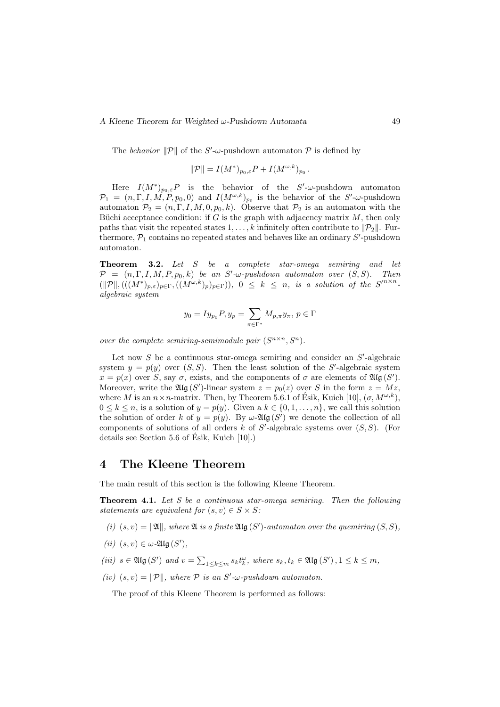#### A Kleene Theorem for Weighted  $\omega$ -Pushdown Automata 49

The behavior  $\|\mathcal{P}\|$  of the S'- $\omega$ -pushdown automaton  $\mathcal P$  is defined by

$$
\|\mathcal{P}\| = I(M^*)_{p_0,\varepsilon}P + I(M^{\omega,k})_{p_0}.
$$

Here  $I(M^*)_{p_0,\varepsilon}P$  is the behavior of the S'- $\omega$ -pushdown automaton  $\mathcal{P}_1 = (n, \Gamma, I, M, P, p_0, 0)$  and  $I(M^{\omega, k})_{p_0}$  is the behavior of the S'- $\omega$ -pushdown automaton  $\mathcal{P}_2 = (n, \Gamma, I, M, 0, p_0, k)$ . Observe that  $\mathcal{P}_2$  is an automaton with the Büchi acceptance condition: if G is the graph with adjacency matrix  $M$ , then only paths that visit the repeated states  $1, \ldots, k$  infinitely often contribute to  $||\mathcal{P}_2||$ . Furthermore,  $\mathcal{P}_1$  contains no repeated states and behaves like an ordinary  $S'$ -pushdown automaton.

Theorem 3.2. Let S be a complete star-omega semiring and let  $\mathcal{P} = (n, \Gamma, I, M, P, p_0, k)$  be an S'- $\omega$ -pushdown automaton over  $(S, S)$ . Then  $(\|\mathcal{P}\|,(((M^*)_{{p,\varepsilon}})_{p\in\Gamma},((M^{\omega,k})_{{p}})_{p\in\Gamma})),\ 0\leq k\leq n,\ \text{is a solution of the }S'^{n\times n}.$ algebraic system

$$
y_0 = I y_{p_0} P, y_p = \sum_{\pi \in \Gamma^*} M_{p, \pi} y_{\pi}, p \in \Gamma
$$

over the complete semiring-semimodule pair  $(S^{n \times n}, S^n)$ .

Let now  $S$  be a continuous star-omega semiring and consider an  $S'$ -algebraic system  $y = p(y)$  over  $(S, S)$ . Then the least solution of the S'-algebraic system  $x = p(x)$  over S, say  $\sigma$ , exists, and the components of  $\sigma$  are elements of  $\mathfrak{Alg}(S')$ . Moreover, write the  $\mathfrak{Alg}(S')$ -linear system  $z = p_0(z)$  over S in the form  $z = Mz$ , where M is an  $n \times n$ -matrix. Then, by Theorem 5.6.1 of Esik, Kuich [10],  $(\sigma, M^{\omega,k})$ ,  $0 \leq k \leq n$ , is a solution of  $y = p(y)$ . Given a  $k \in \{0, 1, \ldots, n\}$ , we call this solution the solution of order k of  $y = p(y)$ . By  $\omega$ -2llg  $(S')$  we denote the collection of all components of solutions of all orders  $k$  of  $S'$ -algebraic systems over  $(S, S)$ . (For details see Section 5.6 of Esik, Kuich [10].) ´

#### 4 The Kleene Theorem

The main result of this section is the following Kleene Theorem.

**Theorem 4.1.** Let  $S$  be a continuous star-omega semiring. Then the following statements are equivalent for  $(s, v) \in S \times S$ :

- (i)  $(s, v) = ||\mathfrak{A}||$ , where  $\mathfrak A$  is a finite  $\mathfrak{Alg}(S')$ -automaton over the quemiring  $(S, S)$ ,
- (*ii*)  $(s, v) \in \omega$ -2llg  $(S')$ ,
- (iii)  $s \in \mathfrak{Alg}(S')$  and  $v = \sum_{1 \leq k \leq m} s_k t_k^{\omega}$ , where  $s_k, t_k \in \mathfrak{Alg}(S')$ ,  $1 \leq k \leq m$ ,
- (iv)  $(s, v) = ||P||$ , where P is an S'- $\omega$ -pushdown automaton.

The proof of this Kleene Theorem is performed as follows: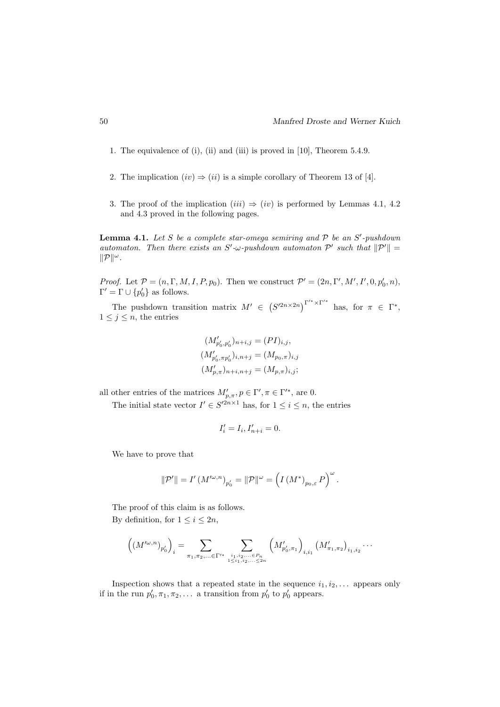- 1. The equivalence of (i), (ii) and (iii) is proved in [10], Theorem 5.4.9.
- 2. The implication  $(iv) \Rightarrow (ii)$  is a simple corollary of Theorem 13 of [4].
- 3. The proof of the implication  $(iii) \Rightarrow (iv)$  is performed by Lemmas 4.1, 4.2 and 4.3 proved in the following pages.

**Lemma 4.1.** Let S be a complete star-omega semiring and  $P$  be an  $S'$ -pushdown automaton. Then there exists an S'- $\omega$ -pushdown automaton  $\mathcal{P}'$  such that  $\|\mathcal{P}'\|$  =  $\|\mathcal{P}\|^\omega$ .

*Proof.* Let  $P = (n, \Gamma, M, I, P, p_0)$ . Then we construct  $P' = (2n, \Gamma', M', I', 0, p'_0, n)$ ,  $\Gamma' = \Gamma \cup \{p'_0\}$  as follows.

The pushdown transition matrix  $M' \in (S^{2n \times 2n})^{\Gamma'^* \times \Gamma'^*}$  has, for  $\pi \in \Gamma^*$ ,  $1 \leq j \leq n$ , the entries

$$
(M'_{p'_0, p'_0})_{n+i,j} = (PI)_{i,j},
$$
  
\n
$$
(M'_{p'_0, \pi p'_0})_{i,n+j} = (M_{p_0, \pi})_{i,j}
$$
  
\n
$$
(M'_{p, \pi})_{n+i, n+j} = (M_{p, \pi})_{i,j};
$$

all other entries of the matrices  $M'_{p,\pi}, p \in \Gamma', \pi \in \Gamma'^{*}$ , are 0.

The initial state vector  $I' \in S'^{2n \times 1}$  has, for  $1 \leq i \leq n$ , the entries

$$
I_i' = I_i, I_{n+i}' = 0.
$$

We have to prove that

$$
\|\mathcal{P}'\| = I'\left(M'^{\omega,n}\right)_{p'_0} = \|\mathcal{P}\|^\omega = \left(I\left(M^*\right)_{p_0,\varepsilon} P\right)^\omega.
$$

The proof of this claim is as follows. By definition, for  $1 \leq i \leq 2n$ ,

$$
\left((M'^{\omega,n})_{p'_0}\right)_i = \sum_{\pi_1,\pi_2,\ldots\in \Gamma'^*}\sum_{i_1,i_2,\ldots\in P_n\atop 1\leq i_1,i_2,\ldots\leq 2n}\left(M'_{p'_0,\pi_1}\right)_{i,i_1}\left(M'_{\pi_1,\pi_2}\right)_{i_1,i_2}\cdots
$$

Inspection shows that a repeated state in the sequence  $i_1, i_2, \ldots$  appears only if in the run  $p'_0, \pi_1, \pi_2, \ldots$  a transition from  $p'_0$  to  $p'_0$  appears.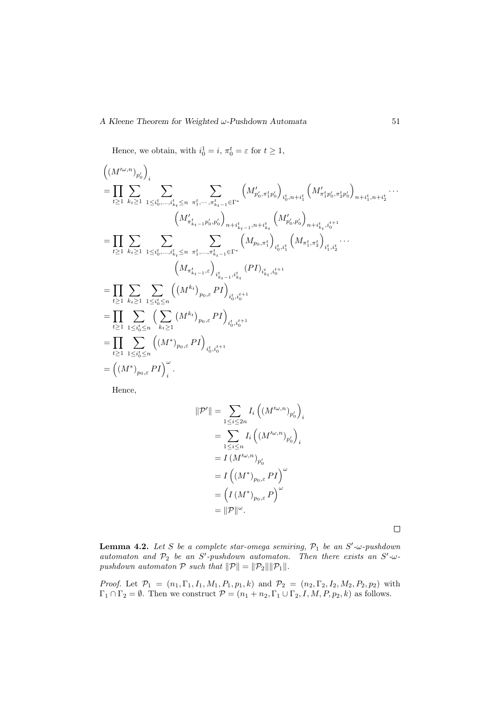Hence, we obtain, with  $i_0^1 = i$ ,  $\pi_0^t = \varepsilon$  for  $t \ge 1$ ,

$$
\left((M^{\prime\omega,n})_{p'_{0}}\right)_{i}
$$
\n
$$
=\prod_{t\geq 1}\sum_{k_{t}\geq 1}\sum_{1\leq i_{0}^{t},...,i_{k_{t}}^{t}\leq n}\sum_{\pi_{1}^{t},..., \pi_{k_{t-1}}^{t}\in\Gamma^{*}}\left(M_{p'_{0},\pi_{1}^{t}p'_{0}}^{\prime}\right)_{i_{0}^{t},n+i_{1}^{t}}\left(M_{\pi_{1}^{t}p'_{0},\pi_{2}^{t}p'_{0}}^{\prime}\right)_{n+i_{1}^{t},n+i_{2}^{t}}\cdots
$$
\n
$$
\left(M_{\pi_{k_{t-1}}^{t},p'_{0},p'_{0}}^{\prime}\right)_{n+i_{k_{t-1}}^{t},n+i_{k_{t}}^{t}}\left(M_{p'_{0},p'_{0}}^{\prime}\right)_{n+i_{k_{t}}^{t},i_{0}^{t+1}}
$$
\n
$$
=\prod_{t\geq 1}\sum_{k_{t}\geq 1}\sum_{1\leq i_{0}^{t},...,i_{k_{t}}^{t}\leq n}\sum_{\pi_{1}^{t},..., \pi_{k_{t-1}}^{t}\in\Gamma^{*}}\left(M_{p_{0},\pi_{1}^{t}}^{\prime}\right)_{i_{0}^{t},i_{1}^{t}}\left(M_{\pi_{1}^{t},\pi_{2}^{t}}^{\prime}\right)_{i_{1}^{t},i_{2}^{t}}\cdots
$$
\n
$$
\left(M_{\pi_{k_{t-1}}^{t},\varepsilon}\right)_{i_{k_{t-1}}^{t},i_{k_{t}}^{t}}\left(PI\right)_{i_{k_{t}}^{t},i_{0}^{t+1}}
$$
\n
$$
=\prod_{t\geq 1}\sum_{1\leq i_{0}^{t}\leq n}\sum_{k_{t}\geq 1}\left(\left(M^{k_{t}}\right)_{p_{0},\varepsilon}PI\right)_{i_{0}^{t},i_{0}^{t+1}}
$$
\n
$$
=\prod_{t\geq 1}\sum_{1\leq i_{0}^{t}\leq n}\left(\left(M^{*}\right)_{p_{0},\varepsilon}PI\right)_{i_{0}^{t},i_{0}^{t+1}}
$$
\n
$$
=\left(\left(M^{*}\right)_{p_{0},\varepsilon}PI\right)_{i
$$

Hence,

$$
\begin{split} \|\mathcal{P}'\| &= \sum_{1 \leq i \leq 2n} I_i \left( \left( M'^{\omega,n} \right)_{p'_0} \right)_i \\ &= \sum_{1 \leq i \leq n} I_i \left( \left( M'^{\omega,n} \right)_{p'_0} \right)_i \\ &= I \left( M'^{\omega,n} \right)_{p'_0} \\ &= I \left( \left( M^* \right)_{p_0,\varepsilon} P I \right)^\omega \\ &= \left( I \left( M^* \right)_{p_0,\varepsilon} P \right)^\omega \\ &= \|\mathcal{P}\|^\omega. \end{split}
$$

 $\Box$ 

**Lemma 4.2.** Let S be a complete star-omega semiring,  $P_1$  be an S'- $\omega$ -pushdown automaton and  $P_2$  be an S'-pushdown automaton. Then there exists an S'- $\omega$ pushdown automaton  $P$  such that  $||P|| = ||P_2|| ||P_1||$ .

*Proof.* Let  $\mathcal{P}_1 = (n_1, \Gamma_1, I_1, M_1, P_1, p_1, k)$  and  $\mathcal{P}_2 = (n_2, \Gamma_2, I_2, M_2, P_2, p_2)$  with  $\Gamma_1 \cap \Gamma_2 = \emptyset$ . Then we construct  $\mathcal{P} = (n_1 + n_2, \Gamma_1 \cup \Gamma_2, I, M, P, p_2, k)$  as follows.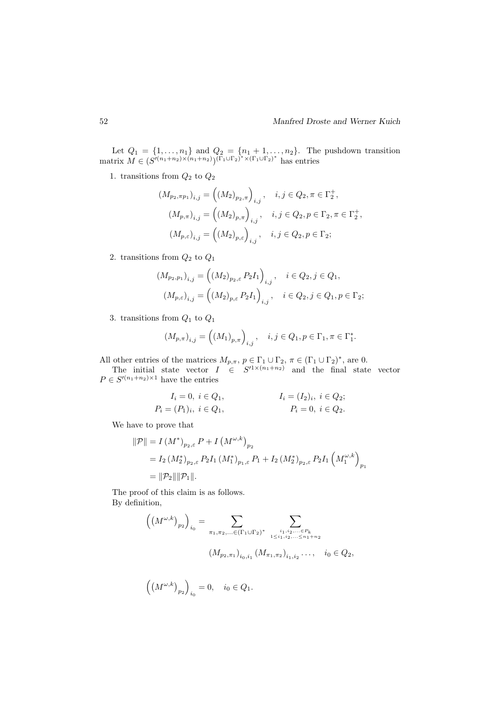Let  $Q_1 = \{1, \ldots, n_1\}$  and  $Q_2 = \{n_1 + 1, \ldots, n_2\}$ . The pushdown transition matrix  $M \in (S'^{(n_1+n_2)\times (n_1+n_2)})^{{(\Gamma_1 \cup \Gamma_2)}^* \times {(\Gamma_1 \cup \Gamma_2)}^*}$  has entries

1. transitions from  $Q_2$  to  $Q_2$ 

$$
(M_{p_2, \pi p_1})_{i,j} = ((M_2)_{p_2, \pi})_{i,j}, \quad i, j \in Q_2, \pi \in \Gamma_2^+,
$$
  

$$
(M_{p, \pi})_{i,j} = ((M_2)_{p, \pi})_{i,j}, \quad i, j \in Q_2, p \in \Gamma_2, \pi \in \Gamma_2^+,
$$
  

$$
(M_{p, \varepsilon})_{i,j} = ((M_2)_{p, \varepsilon})_{i,j}, \quad i, j \in Q_2, p \in \Gamma_2;
$$

2. transitions from  $Q_2$  to  $Q_1$ 

$$
(M_{p_2,p_1})_{i,j} = ((M_2)_{p_2,\varepsilon} P_2 I_1)_{i,j}, \quad i \in Q_2, j \in Q_1,
$$
  

$$
(M_{p,\varepsilon})_{i,j} = ((M_2)_{p,\varepsilon} P_2 I_1)_{i,j}, \quad i \in Q_2, j \in Q_1, p \in \Gamma_2;
$$

3. transitions from  $Q_1$  to  $Q_1$ 

$$
(M_{p,\pi})_{i,j} = ((M_1)_{p,\pi})_{i,j}, \quad i,j \in Q_1, p \in \Gamma_1, \pi \in \Gamma_1^*.
$$

All other entries of the matrices  $M_{p,\pi}$ ,  $p \in \Gamma_1 \cup \Gamma_2$ ,  $\pi \in (\Gamma_1 \cup \Gamma_2)^*$ , are 0.

The initial state vector  $I \in S'^{1 \times (n_1+n_2)}$  and the final state vector  $P \in S'^{(n_1+n_2)\times 1}$  have the entries

$$
I_i = 0, \ i \in Q_1, \qquad I_i = (I_2)_i, \ i \in Q_2; P_i = (P_1)_i, \ i \in Q_1, \qquad P_i = 0, \ i \in Q_2.
$$

We have to prove that

$$
\begin{aligned} \|\mathcal{P}\| &= I \left(M^*\right)_{p_2,\varepsilon} P + I \left(M^{\omega,k}\right)_{p_2} \\ &= I_2 \left(M_2^*\right)_{p_2,\varepsilon} P_2 I_1 \left(M_1^*\right)_{p_1,\varepsilon} P_1 + I_2 \left(M_2^*\right)_{p_2,\varepsilon} P_2 I_1 \left(M_1^{\omega,k}\right)_{p_1} \\ &= \|\mathcal{P}_2\| \|\mathcal{P}_1\|. \end{aligned}
$$

The proof of this claim is as follows. By definition,

$$
\left(\left(M^{\omega,k}\right)_{p_2}\right)_{i_0} = \sum_{\substack{\pi_1, \pi_2, \dots \in (\Gamma_1 \cup \Gamma_2)^*}} \sum_{\substack{i_1, i_2, \dots \in P_k \\ 1 \le i_1, i_2, \dots \le n_1 + n_2}} \n\tag{M_{p_2, \pi_1}}_{i_0, i_1} \left(M_{\pi_1, \pi_2}\right)_{i_1, i_2} \dots, \quad i_0 \in Q_2,
$$

$$
((M^{\omega,k})_{p_2})_{i_0} = 0, \quad i_0 \in Q_1.
$$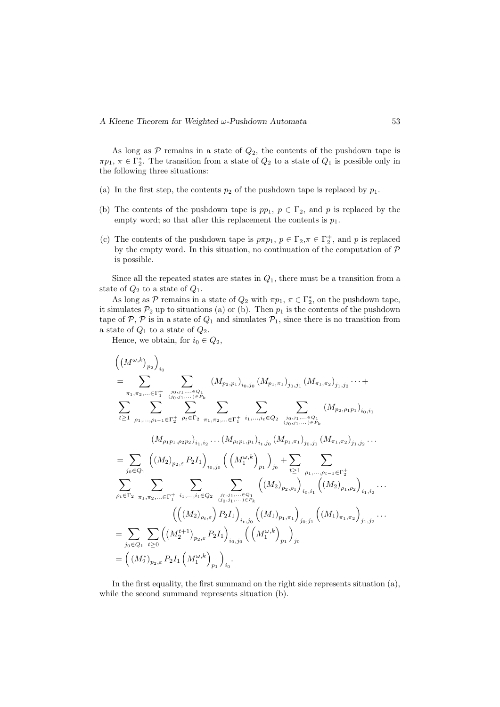As long as  $P$  remains in a state of  $Q_2$ , the contents of the pushdown tape is  $\pi p_1, \pi \in \Gamma_2^*$ . The transition from a state of  $Q_2$  to a state of  $Q_1$  is possible only in the following three situations:

- (a) In the first step, the contents  $p_2$  of the pushdown tape is replaced by  $p_1$ .
- (b) The contents of the pushdown tape is  $pp_1, p \in \Gamma_2$ , and p is replaced by the empty word; so that after this replacement the contents is  $p_1$ .
- (c) The contents of the pushdown tape is  $p\pi p_1$ ,  $p \in \Gamma_2$ ,  $\pi \in \Gamma_2^+$ , and p is replaced by the empty word. In this situation, no continuation of the computation of P is possible.

Since all the repeated states are states in  $Q_1$ , there must be a transition from a state of  $Q_2$  to a state of  $Q_1$ .

As long as  $P$  remains in a state of  $Q_2$  with  $\pi p_1, \pi \in \Gamma_2^*$ , on the pushdown tape, it simulates  $P_2$  up to situations (a) or (b). Then  $p_1$  is the contents of the pushdown tape of  $P$ ,  $P$  is in a state of  $Q_1$  and simulates  $P_1$ , since there is no transition from a state of  $Q_1$  to a state of  $Q_2$ .

Hence, we obtain, for  $i_0 \in Q_2$ ,

$$
\left((M^{\omega,k})_{p_{2}}\right)_{i_{0}}\n= \sum_{\substack{\pi_{1},\pi_{2},\dots\in\Gamma_{1}^{+} \\ \sum_{j_{0},j_{1},\dots\in Q_{1}}^{j_{0},j_{1},\dots\in Q_{1}}}} \sum_{(M_{p_{2},p_{1}})_{i_{0},j_{0}}}(M_{p_{1},\pi_{1}})_{j_{0},j_{1}}(M_{\pi_{1},\pi_{2}})_{j_{1},j_{2}}\cdots + \sum_{t\geq 1} \sum_{\rho_{1},\dots,\rho_{t-1}\in\Gamma_{2}^{+}} \sum_{\substack{\beta_{t}\in\Gamma_{2} \\ \sum_{j_{1},j_{2},\dots,j_{t}\in\Gamma_{1}^{+}}}^{\sum_{j_{0},j_{1},\dots,j_{t}\in Q_{k}}}\sum_{\substack{\pi_{1},\pi_{2},\dots\in\Gamma_{1}^{+} \\ \sum_{j_{0},j_{1},\dots,j_{t}\in Q_{k}}}\left(M_{p_{2},p_{1}p_{1}}\right)_{i_{0},j_{1}}(M_{p_{1},\pi_{1}})_{j_{0},j_{1}}(M_{\pi_{1},\pi_{2}})_{j_{1},j_{2}}\cdots\right] = \sum_{j_{0}\in Q_{1}} \left((M_{2})_{p_{2},\varepsilon} P_{2} I_{1}\right)_{i_{0},j_{0}} \left((M_{1}^{\omega,k})_{p_{1}}\right)_{j_{0}} + \sum_{t\geq 1} \sum_{\substack{\rho_{1},\dots,\rho_{t-1}\in\Gamma_{2}^{+} \\ \sum_{j_{t}\in\Gamma_{2}}^{+}}}\sum_{\pi_{1},\pi_{2},\dots\in\Gamma_{1}^{+}} \sum_{i_{1},\dots,i_{t}\in Q_{2}} \sum_{\substack{j_{0},j_{1},\dots,j_{t}\in Q_{1} \\ \sum_{(j_{0},j_{1},\dots,j)\in P_{k}}}\left((M_{2})_{p_{2},\rho_{1}}\right)_{i_{0},j_{1}}\left((M_{2})_{p_{1},\rho_{2}}\right)_{i_{1},i_{2}}\cdots\right] = \sum_{j_{0}\in Q_{1}} \sum_{t\geq 0} \left((M_{2}^{t+1})_{p_{2},\varepsilon} P_{2} I_{1}\right)_{i_{0},j_{0}} \left((M_{1}^{t})_{p_{1
$$

In the first equality, the first summand on the right side represents situation (a), while the second summand represents situation (b).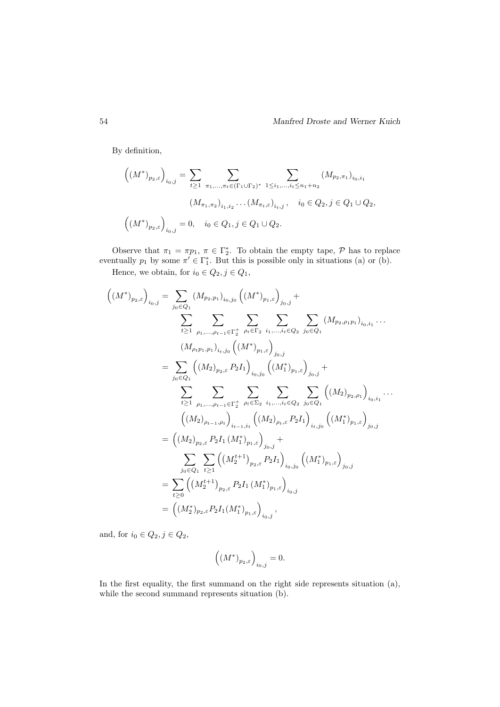By definition,

$$
\left((M^*)_{p_2,\varepsilon}\right)_{i_0,j} = \sum_{t\geq 1} \sum_{\pi_1,\dots,\pi_t \in (\Gamma_1 \cup \Gamma_2)^*} \sum_{1\leq i_1,\dots,i_t \leq n_1+n_2} (M_{p_2,\pi_1})_{i_0,i_1}
$$

$$
(M_{\pi_1,\pi_2})_{i_1,i_2}\dots(M_{\pi_t,\varepsilon})_{i_t,j}, \quad i_0 \in Q_2, j \in Q_1 \cup Q_2,
$$

$$
\left((M^*)_{p_2,\varepsilon}\right)_{i_0,j} = 0, \quad i_0 \in Q_1, j \in Q_1 \cup Q_2.
$$

Observe that  $\pi_1 = \pi p_1$ ,  $\pi \in \Gamma_2^*$ . To obtain the empty tape,  $P$  has to replace eventually  $p_1$  by some  $\pi' \in \Gamma_1^*$ . But this is possible only in situations (a) or (b).

Hence, we obtain, for  $i_0 \in Q_2, j \in Q_1$ ,

$$
\left((M^{*})_{p_{2},\varepsilon}\right)_{i_{0},j} = \sum_{j_{0}\in Q_{1}} (M_{p_{2},p_{1}})_{i_{0},j_{0}} \left((M^{*})_{p_{1},\varepsilon}\right)_{j_{0},j} +
$$
\n
$$
\sum_{t\geq 1} \sum_{\rho_{1},\ldots,\rho_{t-1}\in\Gamma_{2}^{+}} \sum_{\rho_{t}\in\Gamma_{2}} \sum_{i_{1},\ldots,i_{t}\in Q_{2}} \sum_{j_{0}\in Q_{1}} (M_{p_{2},p_{1}p_{1}})_{i_{0},i_{1}} \ldots
$$
\n
$$
(M_{\rho_{t}p_{1},p_{1}})_{i_{t},j_{0}} \left((M^{*})_{p_{1},\varepsilon}\right)_{j_{0},j}
$$
\n
$$
= \sum_{j_{0}\in Q_{1}} \left((M_{2})_{p_{2},\varepsilon} P_{2} I_{1}\right)_{i_{0},j_{0}} \left((M^{*})_{p_{1},\varepsilon}\right)_{j_{0},j} +
$$
\n
$$
\sum_{t\geq 1} \sum_{\rho_{1},\ldots,\rho_{t-1}\in\Gamma_{2}^{+}} \sum_{\rho_{t}\in\Sigma_{2}} \sum_{i_{1},\ldots,i_{t}\in Q_{2}} \sum_{j_{0}\in Q_{1}} \left((M_{2})_{p_{2},\rho_{1}}\right)_{i_{0},i_{1}} \ldots
$$
\n
$$
\left((M_{2})_{\rho_{t-1},\rho_{t}}\right)_{i_{t-1},i_{t}} \left((M_{2})_{\rho_{t},\varepsilon} P_{2} I_{1}\right)_{i_{t},j_{0}} \left((M^{*}_{1})_{p_{1},\varepsilon}\right)_{j_{0},j}
$$
\n
$$
= \left((M_{2})_{p_{2},\varepsilon} P_{2} I_{1} (M^{*}_{1})_{p_{1},\varepsilon}\right)_{j_{0},j}
$$
\n
$$
= \sum_{t\geq 0} \left((M_{2}^{t+1})_{p_{2},\varepsilon} P_{2} I_{1} (M^{*}_{1})_{p_{1},\varepsilon}\right)_{i_{0},j}
$$
\n
$$
= \left((M_{2}^{*})_{p_{2},\varepsilon} P_{2} I_{1} (M
$$

and, for  $i_0 \in Q_2, j \in Q_2$ ,

$$
((M^*)_{p_2,\varepsilon}\Big)_{i_0,j}=0.
$$

In the first equality, the first summand on the right side represents situation (a), while the second summand represents situation (b).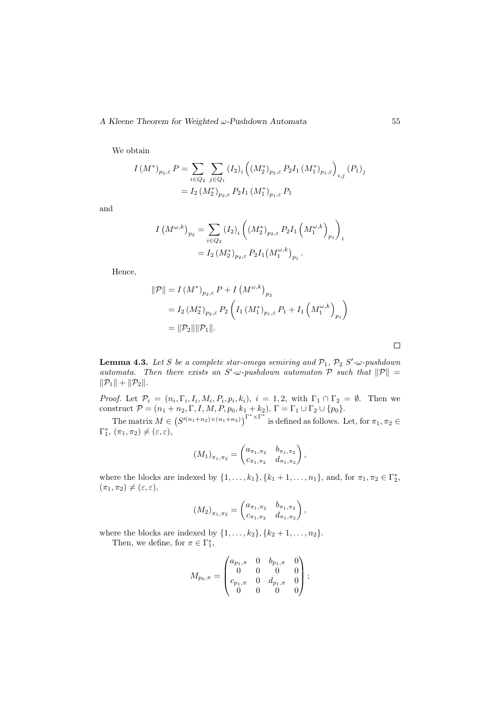We obtain

$$
I(M^*)_{p_2,\varepsilon} P = \sum_{i \in Q_2} \sum_{j \in Q_1} (I_2)_i \left( (M_2^*)_{p_2,\varepsilon} P_2 I_1 (M_1^*)_{p_1,\varepsilon} \right)_{i,j} (P_1)_j
$$
  
=  $I_2 (M_2^*)_{p_2,\varepsilon} P_2 I_1 (M_1^*)_{p_1,\varepsilon} P_1$ 

and

$$
I\left(M^{\omega,k}\right)_{p_2} = \sum_{i \in Q_2} (I_2)_i \left( \left(M_2^*\right)_{p_2,\varepsilon} P_2 I_1 \left(M_1^{\omega,k}\right)_{p_1} \right)_i
$$
  
=  $I_2 \left(M_2^*\right)_{p_2,\varepsilon} P_2 I_1 \left(M_1^{\omega,k}\right)_{p_1}.$ 

Hence,

$$
\begin{aligned} \|\mathcal{P}\| &= I \left(M^*\right)_{p_2,\varepsilon} P + I \left(M^{\omega,k}\right)_{p_2} \\ &= I_2 \left(M_2^*\right)_{p_2,\varepsilon} P_2 \left(I_1 \left(M_1^*\right)_{p_1,\varepsilon} P_1 + I_1 \left(M_1^{\omega,k}\right)_{p_1}\right) \\ &= \|\mathcal{P}_2\| \|\mathcal{P}_1\|. \end{aligned}
$$

**Lemma 4.3.** Let S be a complete star-omega semiring and  $\mathcal{P}_1$ ,  $\mathcal{P}_2$  S'- $\omega$ -pushdown automata. Then there exists an S'- $\omega$ -pushdown automaton P such that  $||P|| =$  $\|\mathcal{P}_1\| + \|\mathcal{P}_2\|.$ 

*Proof.* Let  $\mathcal{P}_i = (n_i, \Gamma_i, I_i, M_i, P_i, p_i, k_i), i = 1, 2$ , with  $\Gamma_1 \cap \Gamma_2 = \emptyset$ . Then we construct  $\mathcal{P} = (n_1 + n_2, \Gamma, I, M, P, p_0, k_1 + k_2), \Gamma = \Gamma_1 \cup \Gamma_2 \cup \{p_0\}.$ 

The matrix  $M \in (S^{(n_1+n_2)\times(n_1+n_2)})^{\Gamma^*\times\Gamma^*}$  is defined as follows. Let, for  $\pi_1, \pi_2 \in$  $\Gamma_1^*, (\pi_1, \pi_2) \neq (\varepsilon, \varepsilon),$ 

$$
(M_1)_{\pi_1, \pi_2} = \begin{pmatrix} a_{\pi_1, \pi_2} & b_{\pi_1, \pi_2} \\ c_{\pi_1, \pi_2} & d_{\pi_1, \pi_2} \end{pmatrix},
$$

where the blocks are indexed by  $\{1, \ldots, k_1\}$ ,  $\{k_1 + 1, \ldots, n_1\}$ , and, for  $\pi_1, \pi_2 \in \Gamma_2^*$ ,  $(\pi_1, \pi_2) \neq (\varepsilon, \varepsilon),$ 

$$
(M_2)_{\pi_1, \pi_2} = \begin{pmatrix} a_{\pi_1, \pi_2} & b_{\pi_1, \pi_2} \\ c_{\pi_1, \pi_2} & d_{\pi_1, \pi_2} \end{pmatrix},
$$

where the blocks are indexed by  $\{1, ..., k_2\}, \{k_2 + 1, ..., n_2\}.$ 

Then, we define, for  $\pi \in \Gamma_1^*$ ,

$$
M_{p_0,\pi} = \begin{pmatrix} a_{p_1,\pi} & 0 & b_{p_1,\pi} & 0 \\ 0 & 0 & 0 & 0 \\ c_{p_1,\pi} & 0 & d_{p_1,\pi} & 0 \\ 0 & 0 & 0 & 0 \end{pmatrix};
$$

 $\Box$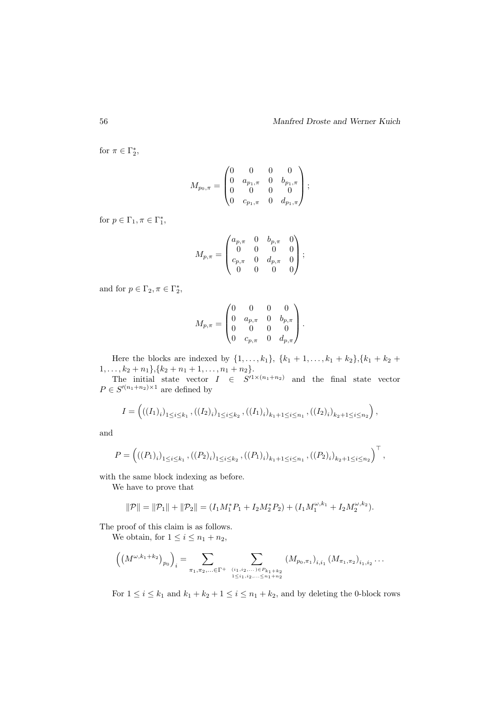for  $\pi \in \Gamma_2^*$ ,

$$
M_{p_0,\pi} = \begin{pmatrix} 0 & 0 & 0 & 0 \\ 0 & a_{p_1,\pi} & 0 & b_{p_1,\pi} \\ 0 & 0 & 0 & 0 \\ 0 & c_{p_1,\pi} & 0 & d_{p_1,\pi} \end{pmatrix};
$$

for  $p \in \Gamma_1, \pi \in \Gamma_1^*$ ,

$$
M_{p,\pi} = \begin{pmatrix} a_{p,\pi} & 0 & b_{p,\pi} & 0 \\ 0 & 0 & 0 & 0 \\ c_{p,\pi} & 0 & d_{p,\pi} & 0 \\ 0 & 0 & 0 & 0 \end{pmatrix};
$$

and for  $p \in \Gamma_2, \pi \in \Gamma_2^*$ ,

$$
M_{p,\pi} = \begin{pmatrix} 0 & 0 & 0 & 0 \\ 0 & a_{p,\pi} & 0 & b_{p,\pi} \\ 0 & 0 & 0 & 0 \\ 0 & c_{p,\pi} & 0 & d_{p,\pi} \end{pmatrix}.
$$

Here the blocks are indexed by  $\{1, ..., k_1\}$ ,  $\{k_1 + 1, ..., k_1 + k_2\}$ ,  $\{k_1 + k_2 + k_3\}$  $1, \ldots, k_2 + n_1\}, \{k_2 + n_1 + 1, \ldots, n_1 + n_2\}.$ 

The initial state vector  $I \in S'^{1 \times (n_1+n_2)}$  and the final state vector  $P \in S'^{(n_1+n_2)\times 1}$  are defined by

$$
I = \left( ((I_1)_i)_{1 \le i \le k_1}, ((I_2)_i)_{1 \le i \le k_2}, ((I_1)_i)_{k_1+1 \le i \le n_1}, ((I_2)_i)_{k_2+1 \le i \le n_2} \right),
$$

and

$$
P = \left( ((P_1)_{i})_{1 \leq i \leq k_1}, ((P_2)_{i})_{1 \leq i \leq k_2}, ((P_1)_{i})_{k_1+1 \leq i \leq n_1}, ((P_2)_{i})_{k_2+1 \leq i \leq n_2} \right)^{\top},
$$

with the same block indexing as before.

We have to prove that

$$
\|\mathcal{P}\| = \|\mathcal{P}_1\| + \|\mathcal{P}_2\| = (I_1M_1^*P_1 + I_2M_2^*P_2) + (I_1M_1^{\omega,k_1} + I_2M_2^{\omega,k_2}).
$$

The proof of this claim is as follows.

We obtain, for  $1 \leq i \leq n_1 + n_2$ ,

$$
\left(\left(M^{\omega,k_1+k_2}\right)_{p_0}\right)_i = \sum_{\substack{\pi_1,\pi_2,\dots\in\Gamma^+\\ 1 \le i_1,i_2,\dots\le n_1+n_2}} \sum_{\substack{(M_{p_0,\pi_1})_{i,i_1} \ (M_{\pi_1,\pi_2})_{i_1,i_2} \ \dots}
$$

For  $1 \leq i \leq k_1$  and  $k_1 + k_2 + 1 \leq i \leq n_1 + k_2$ , and by deleting the 0-block rows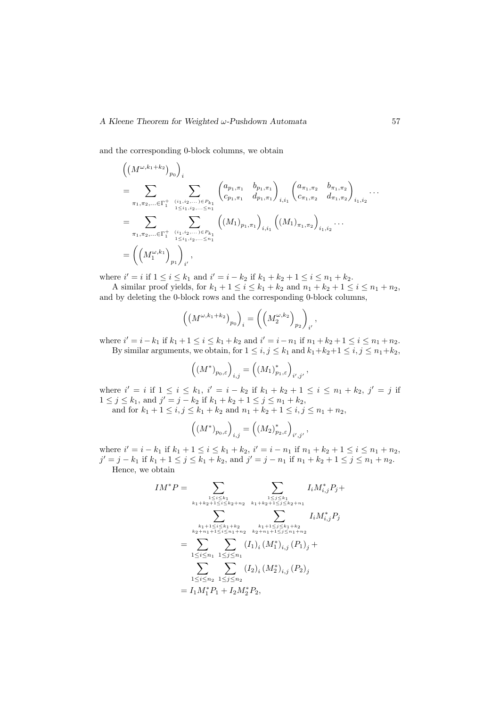and the corresponding 0-block columns, we obtain

$$
\begin{split}\n&\left(\left(M^{\omega,k_{1}+k_{2}}\right)_{p_{0}}\right)_{i} \\
&= \sum_{\pi_{1},\pi_{2},\dots\in\Gamma_{1}^{+}}\sum_{\substack{(i_{1},i_{2},\dots)\in P_{k_{1}}\\1\leq i_{1},i_{2},\dots\leq n_{1}}}\left(a_{p_{1},\pi_{1}}\quad b_{p_{1},\pi_{1}}\right)_{i,i_{1}}\left(a_{\pi_{1},\pi_{2}}\quad b_{\pi_{1},\pi_{2}}\right)_{i_{1},i_{2}} \\
&= \sum_{\pi_{1},\pi_{2},\dots\in\Gamma_{1}^{+}}\sum_{\substack{(i_{1},i_{2},\dots)\in P_{k_{1}}\\1\leq i_{1},i_{2},\dots\leq n_{1}}}\left(\left(M_{1}\right)_{p_{1},\pi_{1}}\right)_{i,i_{1}}\left(\left(M_{1}\right)_{\pi_{1},\pi_{2}}\right)_{i_{1},i_{2}}\cdots \\
&= \left(\left(M_{1}^{\omega,k_{1}}\right)_{p_{1}}\right)_{i'}\n\end{split}
$$

where  $i' = i$  if  $1 \le i \le k_1$  and  $i' = i - k_2$  if  $k_1 + k_2 + 1 \le i \le n_1 + k_2$ .

A similar proof yields, for  $k_1 + 1 \leq i \leq k_1 + k_2$  and  $n_1 + k_2 + 1 \leq i \leq n_1 + n_2$ , and by deleting the 0-block rows and the corresponding 0-block columns,

$$
\left(\left(M^{\omega,k_1+k_2}\right)_{p_0}\right)_i = \left(\left(M_2^{\omega,k_2}\right)_{p_2}\right)_{i'},
$$

where  $i' = i - k_1$  if  $k_1 + 1 \le i \le k_1 + k_2$  and  $i' = i - n_1$  if  $n_1 + k_2 + 1 \le i \le n_1 + n_2$ . By similar arguments, we obtain, for  $1 \leq i, j \leq k_1$  and  $k_1+k_2+1 \leq i, j \leq n_1+k_2$ ,

$$
\left((M^*)_{p_0,\varepsilon}\right)_{i,j} = \left((M_1)_{p_1,\varepsilon}^*\right)_{i',j'},
$$

where  $i' = i$  if  $1 \le i \le k_1$ ,  $i' = i - k_2$  if  $k_1 + k_2 + 1 \le i \le n_1 + k_2$ ,  $j' = j$  if  $1 \leq j \leq k_1$ , and  $j' = j - k_2$  if  $k_1 + k_2 + 1 \leq j \leq n_1 + k_2$ ,

and for  $k_1 + 1 \le i, j \le k_1 + k_2$  and  $n_1 + k_2 + 1 \le i, j \le n_1 + n_2$ ,

$$
\left((M^*)_{p_0,\varepsilon}\right)_{i,j} = \left((M_2)_{p_2,\varepsilon}^*\right)_{i',j'},
$$

where  $i' = i - k_1$  if  $k_1 + 1 \le i \le k_1 + k_2$ ,  $i' = i - n_1$  if  $n_1 + k_2 + 1 \le i \le n_1 + n_2$ ,  $j' = j - k_1$  if  $k_1 + 1 \le j \le k_1 + k_2$ , and  $j' = j - n_1$  if  $n_1 + k_2 + 1 \le j \le n_1 + n_2$ . Hence, we obtain

$$
IM^*P = \sum_{\substack{1 \le i \le k_1 \\ k_1 + k_2 + 1 \le i \le k_2 + n_2}} \sum_{\substack{1 \le j \le k_1 \\ k_1 + k_2 + 1 \le j \le k_2 + n_1}} I_i M^*_{i,j} P_j +
$$
  

$$
= \sum_{\substack{k_1 + 1 \le i \le k_1 + k_2 \\ k_2 + n_1 + 1 \le i \le n_1 + n_2}} \sum_{\substack{k_1 + 1 \le j \le k_1 + k_2 \\ k_2 + n_1 + 1 \le j \le n_1 + n_2}} I_i M^*_{i,j} P_j
$$
  

$$
= \sum_{1 \le i \le n_1} \sum_{\substack{1 \le j \le n_1}} (I_1)_i (M^*_1)_{i,j} (P_1)_j +
$$
  

$$
= \sum_{1 \le i \le n_2} \sum_{\substack{1 \le j \le n_2}} (I_2)_i (M^*_2)_{i,j} (P_2)_j
$$
  

$$
= I_1 M^*_1 P_1 + I_2 M^*_2 P_2,
$$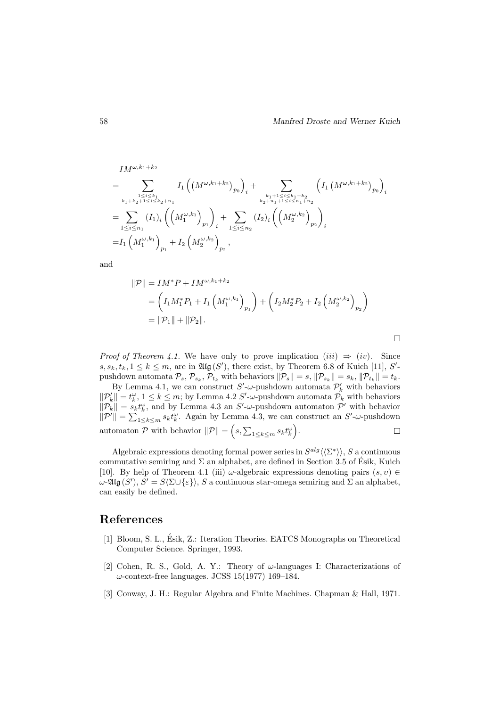$$
IM^{\omega, k_1+k_2}
$$
\n
$$
= \sum_{\substack{k_1+k_2+1 \le i \le k_1\\k_1+k_2+1 \le i \le k_2+n_1}} I_1((M^{\omega,k_1+k_2})_{p_0})_i + \sum_{\substack{k_1+1 \le i \le k_1+k_2\\k_2+n_1+1 \le i \le n_1+n_2}} \left( I_1(M^{\omega,k_1+k_2})_{p_0} \right)_i
$$
\n
$$
= \sum_{1 \le i \le n_1} (I_1)_i \left( \left( M_1^{\omega,k_1} \right)_{p_1} \right)_i + \sum_{1 \le i \le n_2} (I_2)_i \left( \left( M_2^{\omega,k_2} \right)_{p_2} \right)_i
$$
\n
$$
= I_1(M_1^{\omega,k_1})_{p_1} + I_2(M_2^{\omega,k_2})_{p_2},
$$

and

$$
\begin{aligned} \|\mathcal{P}\| &= IM^*P + IM^{\omega,k_1+k_2} \\ &= \left(I_1M_1^*P_1 + I_1\left(M_1^{\omega,k_1}\right)_{p_1}\right) + \left(I_2M_2^*P_2 + I_2\left(M_2^{\omega,k_2}\right)_{p_2}\right) \\ &= \|\mathcal{P}_1\| + \|\mathcal{P}_2\|. \end{aligned}
$$

 $\Box$ 

*Proof of Theorem 4.1.* We have only to prove implication  $(iii) \Rightarrow (iv)$ . Since  $s, s_k, t_k, 1 \leq k \leq m$ , are in  $\mathfrak{Alg}(S')$ , there exist, by Theorem 6.8 of Kuich [11], S'pushdown automata  $\mathcal{P}_s$ ,  $\mathcal{P}_{s_k}$ ,  $\mathcal{P}_{t_k}$  with behaviors  $\|\mathcal{P}_s\| = s$ ,  $\|\mathcal{P}_{s_k}\| = s_k$ ,  $\|\mathcal{P}_{t_k}\| = t_k$ .

By Lemma 4.1, we can construct  $S'$ - $\omega$ -pushdown automata  $\mathcal{P}'_k$  with behaviors  $\|\mathcal{P}_k'\| = t_k^{\omega}, 1 \leq k \leq m$ ; by Lemma 4.2 S'- $\omega$ -pushdown automata  $\mathcal{P}_k$  with behaviors  $\|\mathcal{P}_k\| = s_k t_k^{\omega}$ , and by Lemma 4.3 an S'- $\omega$ -pushdown automaton  $\mathcal{P}'$  with behavior  $\|\mathcal{P}'\| = \sum_{1 \leq k \leq m} s_k t_k^{\omega}$ . Again by Lemma 4.3, we can construct an  $S'$ - $\omega$ -pushdown automaton  $P$  with behavior  $||P|| = (s, \sum_{1 \leq k \leq m} s_k t_k^{\omega}).$  $\Box$ 

Algebraic expressions denoting formal power series in  $S^{alg} \langle \langle \Sigma^* \rangle \rangle$ , S a continuous commutative semiring and  $\Sigma$  an alphabet, are defined in Section 3.5 of Ésik, Kuich [10]. By help of Theorem 4.1 (iii)  $\omega$ -algebraic expressions denoting pairs  $(s, v) \in$  $ω$ -2llg (S'),  $S' = S(Σ ∪ {ε})$ , S a continuous star-omega semiring and Σ an alphabet, can easily be defined.

### References

- [1] Bloom, S. L., Esik, Z.: Iteration Theories. EATCS Monographs on Theoretical ´ Computer Science. Springer, 1993.
- [2] Cohen, R. S., Gold, A. Y.: Theory of  $\omega$ -languages I: Characterizations of  $\omega$ -context-free languages. JCSS 15(1977) 169–184.
- [3] Conway, J. H.: Regular Algebra and Finite Machines. Chapman & Hall, 1971.